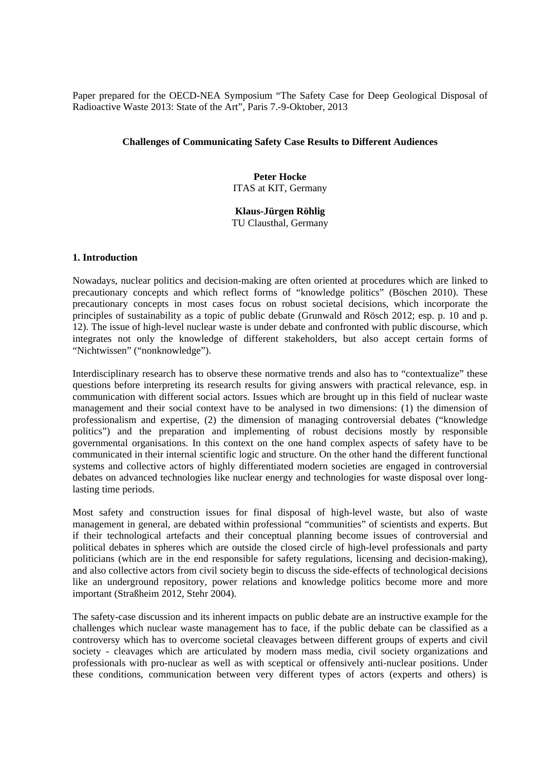Paper prepared for the OECD-NEA Symposium "The Safety Case for Deep Geological Disposal of Radioactive Waste 2013: State of the Art", Paris 7.-9-Oktober, 2013

## **Challenges of Communicating Safety Case Results to Different Audiences**

**Peter Hocke**  ITAS at KIT, Germany

# **Klaus-Jürgen Röhlig**

TU Clausthal, Germany

### **1. Introduction**

Nowadays, nuclear politics and decision-making are often oriented at procedures which are linked to precautionary concepts and which reflect forms of "knowledge politics" (Böschen 2010). These precautionary concepts in most cases focus on robust societal decisions, which incorporate the principles of sustainability as a topic of public debate (Grunwald and Rösch 2012; esp. p. 10 and p. 12). The issue of high-level nuclear waste is under debate and confronted with public discourse, which integrates not only the knowledge of different stakeholders, but also accept certain forms of "Nichtwissen" ("nonknowledge").

Interdisciplinary research has to observe these normative trends and also has to "contextualize" these questions before interpreting its research results for giving answers with practical relevance, esp. in communication with different social actors. Issues which are brought up in this field of nuclear waste management and their social context have to be analysed in two dimensions: (1) the dimension of professionalism and expertise, (2) the dimension of managing controversial debates ("knowledge politics") and the preparation and implementing of robust decisions mostly by responsible governmental organisations. In this context on the one hand complex aspects of safety have to be communicated in their internal scientific logic and structure. On the other hand the different functional systems and collective actors of highly differentiated modern societies are engaged in controversial debates on advanced technologies like nuclear energy and technologies for waste disposal over longlasting time periods.

Most safety and construction issues for final disposal of high-level waste, but also of waste management in general, are debated within professional "communities" of scientists and experts. But if their technological artefacts and their conceptual planning become issues of controversial and political debates in spheres which are outside the closed circle of high-level professionals and party politicians (which are in the end responsible for safety regulations, licensing and decision-making), and also collective actors from civil society begin to discuss the side-effects of technological decisions like an underground repository, power relations and knowledge politics become more and more important (Straßheim 2012, Stehr 2004).

The safety-case discussion and its inherent impacts on public debate are an instructive example for the challenges which nuclear waste management has to face, if the public debate can be classified as a controversy which has to overcome societal cleavages between different groups of experts and civil society - cleavages which are articulated by modern mass media, civil society organizations and professionals with pro-nuclear as well as with sceptical or offensively anti-nuclear positions. Under these conditions, communication between very different types of actors (experts and others) is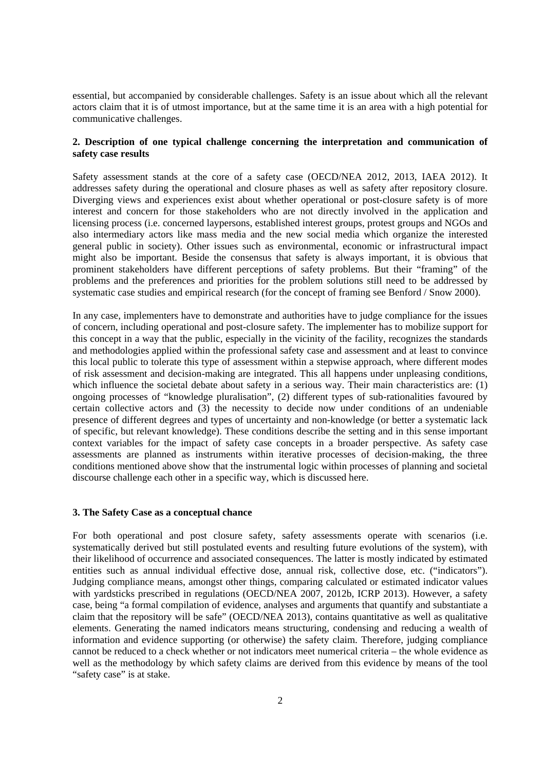essential, but accompanied by considerable challenges. Safety is an issue about which all the relevant actors claim that it is of utmost importance, but at the same time it is an area with a high potential for communicative challenges.

### **2. Description of one typical challenge concerning the interpretation and communication of safety case results**

Safety assessment stands at the core of a safety case (OECD/NEA 2012, 2013, IAEA 2012). It addresses safety during the operational and closure phases as well as safety after repository closure. Diverging views and experiences exist about whether operational or post-closure safety is of more interest and concern for those stakeholders who are not directly involved in the application and licensing process (i.e. concerned laypersons, established interest groups, protest groups and NGOs and also intermediary actors like mass media and the new social media which organize the interested general public in society). Other issues such as environmental, economic or infrastructural impact might also be important. Beside the consensus that safety is always important, it is obvious that prominent stakeholders have different perceptions of safety problems. But their "framing" of the problems and the preferences and priorities for the problem solutions still need to be addressed by systematic case studies and empirical research (for the concept of framing see Benford / Snow 2000).

In any case, implementers have to demonstrate and authorities have to judge compliance for the issues of concern, including operational and post-closure safety. The implementer has to mobilize support for this concept in a way that the public, especially in the vicinity of the facility, recognizes the standards and methodologies applied within the professional safety case and assessment and at least to convince this local public to tolerate this type of assessment within a stepwise approach, where different modes of risk assessment and decision-making are integrated. This all happens under unpleasing conditions, which influence the societal debate about safety in a serious way. Their main characteristics are: (1) ongoing processes of "knowledge pluralisation", (2) different types of sub-rationalities favoured by certain collective actors and (3) the necessity to decide now under conditions of an undeniable presence of different degrees and types of uncertainty and non-knowledge (or better a systematic lack of specific, but relevant knowledge). These conditions describe the setting and in this sense important context variables for the impact of safety case concepts in a broader perspective. As safety case assessments are planned as instruments within iterative processes of decision-making, the three conditions mentioned above show that the instrumental logic within processes of planning and societal discourse challenge each other in a specific way, which is discussed here.

#### **3. The Safety Case as a conceptual chance**

For both operational and post closure safety, safety assessments operate with scenarios (i.e. systematically derived but still postulated events and resulting future evolutions of the system), with their likelihood of occurrence and associated consequences. The latter is mostly indicated by estimated entities such as annual individual effective dose, annual risk, collective dose, etc. ("indicators"). Judging compliance means, amongst other things, comparing calculated or estimated indicator values with yardsticks prescribed in regulations (OECD/NEA 2007, 2012b, ICRP 2013). However, a safety case, being "a formal compilation of evidence, analyses and arguments that quantify and substantiate a claim that the repository will be safe" (OECD/NEA 2013), contains quantitative as well as qualitative elements. Generating the named indicators means structuring, condensing and reducing a wealth of information and evidence supporting (or otherwise) the safety claim. Therefore, judging compliance cannot be reduced to a check whether or not indicators meet numerical criteria – the whole evidence as well as the methodology by which safety claims are derived from this evidence by means of the tool "safety case" is at stake.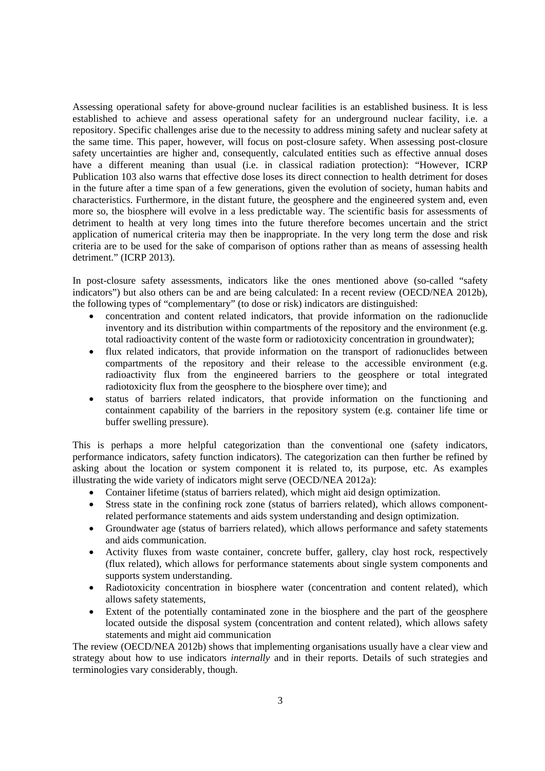Assessing operational safety for above-ground nuclear facilities is an established business. It is less established to achieve and assess operational safety for an underground nuclear facility, i.e. a repository. Specific challenges arise due to the necessity to address mining safety and nuclear safety at the same time. This paper, however, will focus on post-closure safety. When assessing post-closure safety uncertainties are higher and, consequently, calculated entities such as effective annual doses have a different meaning than usual (i.e. in classical radiation protection): "However, ICRP Publication 103 also warns that effective dose loses its direct connection to health detriment for doses in the future after a time span of a few generations, given the evolution of society, human habits and characteristics. Furthermore, in the distant future, the geosphere and the engineered system and, even more so, the biosphere will evolve in a less predictable way. The scientific basis for assessments of detriment to health at very long times into the future therefore becomes uncertain and the strict application of numerical criteria may then be inappropriate. In the very long term the dose and risk criteria are to be used for the sake of comparison of options rather than as means of assessing health detriment." (ICRP 2013).

In post-closure safety assessments, indicators like the ones mentioned above (so-called "safety indicators") but also others can be and are being calculated: In a recent review (OECD/NEA 2012b), the following types of "complementary" (to dose or risk) indicators are distinguished:

- concentration and content related indicators, that provide information on the radionuclide inventory and its distribution within compartments of the repository and the environment (e.g. total radioactivity content of the waste form or radiotoxicity concentration in groundwater);
- flux related indicators, that provide information on the transport of radionuclides between compartments of the repository and their release to the accessible environment (e.g. radioactivity flux from the engineered barriers to the geosphere or total integrated radiotoxicity flux from the geosphere to the biosphere over time); and
- status of barriers related indicators, that provide information on the functioning and containment capability of the barriers in the repository system (e.g. container life time or buffer swelling pressure).

This is perhaps a more helpful categorization than the conventional one (safety indicators, performance indicators, safety function indicators). The categorization can then further be refined by asking about the location or system component it is related to, its purpose, etc. As examples illustrating the wide variety of indicators might serve (OECD/NEA 2012a):

- Container lifetime (status of barriers related), which might aid design optimization.
- Stress state in the confining rock zone (status of barriers related), which allows componentrelated performance statements and aids system understanding and design optimization.
- Groundwater age (status of barriers related), which allows performance and safety statements and aids communication.
- Activity fluxes from waste container, concrete buffer, gallery, clay host rock, respectively (flux related), which allows for performance statements about single system components and supports system understanding.
- Radiotoxicity concentration in biosphere water (concentration and content related), which allows safety statements,
- Extent of the potentially contaminated zone in the biosphere and the part of the geosphere located outside the disposal system (concentration and content related), which allows safety statements and might aid communication

The review (OECD/NEA 2012b) shows that implementing organisations usually have a clear view and strategy about how to use indicators *internally* and in their reports. Details of such strategies and terminologies vary considerably, though.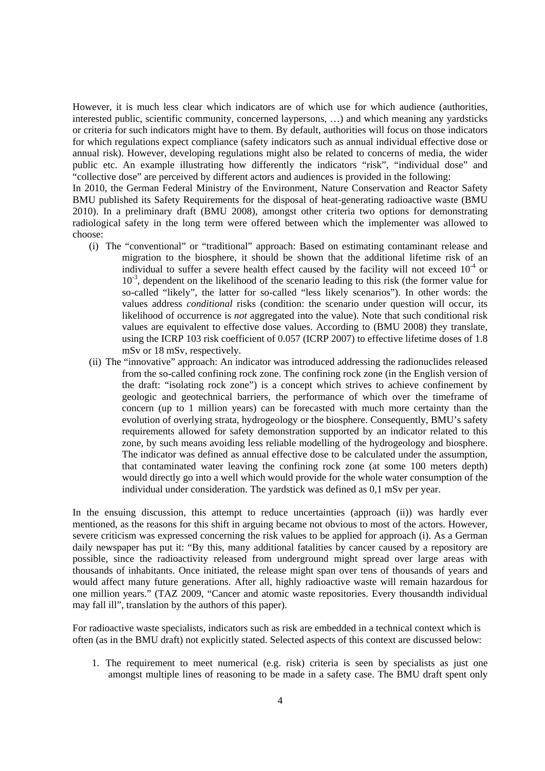However, it is much less clear which indicators are of which use for which audience (authorities, interested public, scientific community, concerned laypersons, …) and which meaning any yardsticks or criteria for such indicators might have to them. By default, authorities will focus on those indicators for which regulations expect compliance (safety indicators such as annual individual effective dose or annual risk). However, developing regulations might also be related to concerns of media, the wider public etc. An example illustrating how differently the indicators "risk", "individual dose" and "collective dose" are perceived by different actors and audiences is provided in the following:

In 2010, the German Federal Ministry of the Environment, Nature Conservation and Reactor Safety BMU published its Safety Requirements for the disposal of heat-generating radioactive waste (BMU 2010). In a preliminary draft (BMU 2008), amongst other criteria two options for demonstrating radiological safety in the long term were offered between which the implementer was allowed to choose:

- (i) The "conventional" or "traditional" approach: Based on estimating contaminant release and migration to the biosphere, it should be shown that the additional lifetime risk of an individual to suffer a severe health effect caused by the facility will not exceed  $10<sup>4</sup>$  or  $10^{-3}$ , dependent on the likelihood of the scenario leading to this risk (the former value for so-called "likely", the latter for so-called "less likely scenarios"). In other words: the values address *conditional* risks (condition: the scenario under question will occur, its likelihood of occurrence is *not* aggregated into the value). Note that such conditional risk values are equivalent to effective dose values. According to (BMU 2008) they translate, using the ICRP 103 risk coefficient of 0.057 (ICRP 2007) to effective lifetime doses of 1.8 mSv or 18 mSv, respectively.
- (ii) The "innovative" approach: An indicator was introduced addressing the radionuclides released from the so-called confining rock zone. The confining rock zone (in the English version of the draft: "isolating rock zone") is a concept which strives to achieve confinement by geologic and geotechnical barriers, the performance of which over the timeframe of concern (up to 1 million years) can be forecasted with much more certainty than the evolution of overlying strata, hydrogeology or the biosphere. Consequently, BMU's safety requirements allowed for safety demonstration supported by an indicator related to this zone, by such means avoiding less reliable modelling of the hydrogeology and biosphere. The indicator was defined as annual effective dose to be calculated under the assumption, that contaminated water leaving the confining rock zone (at some 100 meters depth) would directly go into a well which would provide for the whole water consumption of the individual under consideration. The yardstick was defined as 0,1 mSv per year.

In the ensuing discussion, this attempt to reduce uncertainties (approach (ii)) was hardly ever mentioned, as the reasons for this shift in arguing became not obvious to most of the actors. However, severe criticism was expressed concerning the risk values to be applied for approach (i). As a German daily newspaper has put it: "By this, many additional fatalities by cancer caused by a repository are possible, since the radioactivity released from underground might spread over large areas with thousands of inhabitants. Once initiated, the release might span over tens of thousands of years and would affect many future generations. After all, highly radioactive waste will remain hazardous for one million years." (TAZ 2009, "Cancer and atomic waste repositories. Every thousandth individual may fall ill", translation by the authors of this paper).

For radioactive waste specialists, indicators such as risk are embedded in a technical context which is often (as in the BMU draft) not explicitly stated. Selected aspects of this context are discussed below:

1. The requirement to meet numerical (e.g. risk) criteria is seen by specialists as just one amongst multiple lines of reasoning to be made in a safety case. The BMU draft spent only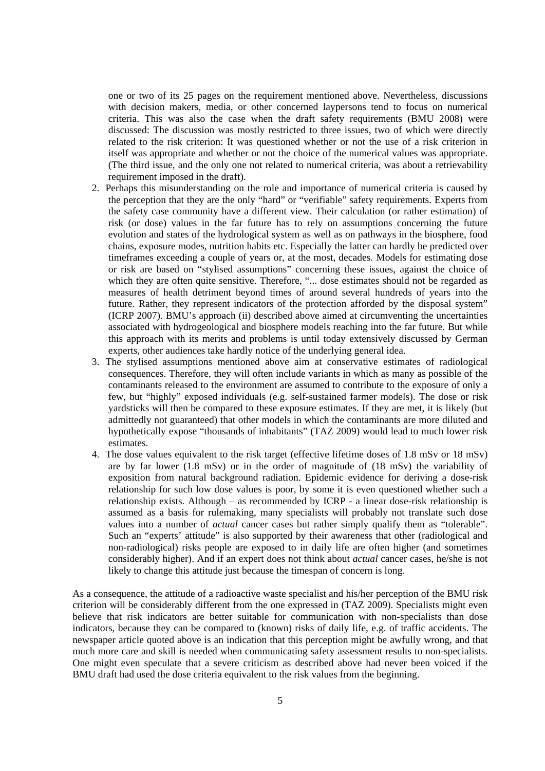one or two of its 25 pages on the requirement mentioned above. Nevertheless, discussions with decision makers, media, or other concerned laypersons tend to focus on numerical criteria. This was also the case when the draft safety requirements (BMU 2008) were discussed: The discussion was mostly restricted to three issues, two of which were directly related to the risk criterion: It was questioned whether or not the use of a risk criterion in itself was appropriate and whether or not the choice of the numerical values was appropriate. (The third issue, and the only one not related to numerical criteria, was about a retrievability requirement imposed in the draft).

- 2. Perhaps this misunderstanding on the role and importance of numerical criteria is caused by the perception that they are the only "hard" or "verifiable" safety requirements. Experts from the safety case community have a different view. Their calculation (or rather estimation) of risk (or dose) values in the far future has to rely on assumptions concerning the future evolution and states of the hydrological system as well as on pathways in the biosphere, food chains, exposure modes, nutrition habits etc. Especially the latter can hardly be predicted over timeframes exceeding a couple of years or, at the most, decades. Models for estimating dose or risk are based on "stylised assumptions" concerning these issues, against the choice of which they are often quite sensitive. Therefore, "... dose estimates should not be regarded as measures of health detriment beyond times of around several hundreds of years into the future. Rather, they represent indicators of the protection afforded by the disposal system" (ICRP 2007). BMU's approach (ii) described above aimed at circumventing the uncertainties associated with hydrogeological and biosphere models reaching into the far future. But while this approach with its merits and problems is until today extensively discussed by German experts, other audiences take hardly notice of the underlying general idea.
- 3. The stylised assumptions mentioned above aim at conservative estimates of radiological consequences. Therefore, they will often include variants in which as many as possible of the contaminants released to the environment are assumed to contribute to the exposure of only a few, but "highly" exposed individuals (e.g. self-sustained farmer models). The dose or risk yardsticks will then be compared to these exposure estimates. If they are met, it is likely (but admittedly not guaranteed) that other models in which the contaminants are more diluted and hypothetically expose "thousands of inhabitants" (TAZ 2009) would lead to much lower risk estimates.
- 4. The dose values equivalent to the risk target (effective lifetime doses of 1.8 mSv or 18 mSv) are by far lower  $(1.8 \text{ mSv})$  or in the order of magnitude of  $(18 \text{ mSv})$  the variability of exposition from natural background radiation. Epidemic evidence for deriving a dose-risk relationship for such low dose values is poor, by some it is even questioned whether such a relationship exists. Although – as recommended by ICRP - a linear dose-risk relationship is assumed as a basis for rulemaking, many specialists will probably not translate such dose values into a number of *actual* cancer cases but rather simply qualify them as "tolerable". Such an "experts' attitude" is also supported by their awareness that other (radiological and non-radiological) risks people are exposed to in daily life are often higher (and sometimes considerably higher). And if an expert does not think about *actual* cancer cases, he/she is not likely to change this attitude just because the timespan of concern is long.

As a consequence, the attitude of a radioactive waste specialist and his/her perception of the BMU risk criterion will be considerably different from the one expressed in (TAZ 2009). Specialists might even believe that risk indicators are better suitable for communication with non-specialists than dose indicators, because they can be compared to (known) risks of daily life, e.g. of traffic accidents. The newspaper article quoted above is an indication that this perception might be awfully wrong, and that much more care and skill is needed when communicating safety assessment results to non-specialists. One might even speculate that a severe criticism as described above had never been voiced if the BMU draft had used the dose criteria equivalent to the risk values from the beginning.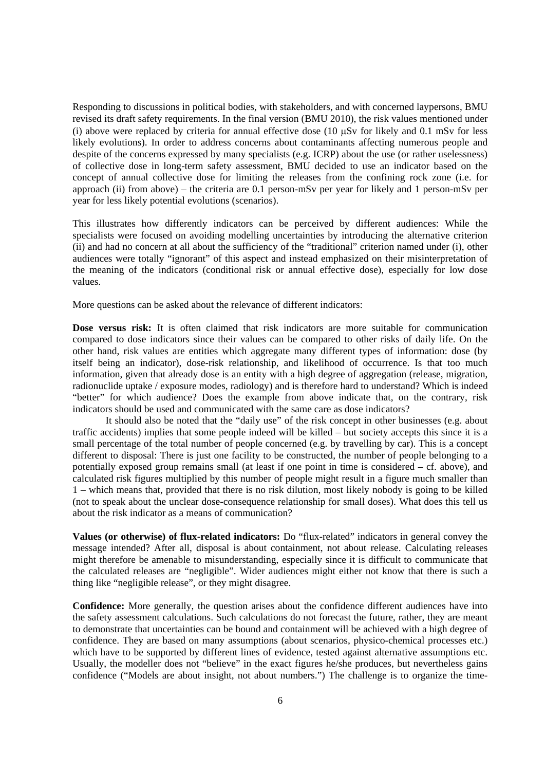Responding to discussions in political bodies, with stakeholders, and with concerned laypersons, BMU revised its draft safety requirements. In the final version (BMU 2010), the risk values mentioned under (i) above were replaced by criteria for annual effective dose (10  $\mu$ Sv for likely and 0.1 mSv for less likely evolutions). In order to address concerns about contaminants affecting numerous people and despite of the concerns expressed by many specialists (e.g. ICRP) about the use (or rather uselessness) of collective dose in long-term safety assessment, BMU decided to use an indicator based on the concept of annual collective dose for limiting the releases from the confining rock zone (i.e. for approach (ii) from above) – the criteria are 0.1 person-mSv per year for likely and 1 person-mSv per year for less likely potential evolutions (scenarios).

This illustrates how differently indicators can be perceived by different audiences: While the specialists were focused on avoiding modelling uncertainties by introducing the alternative criterion (ii) and had no concern at all about the sufficiency of the "traditional" criterion named under (i), other audiences were totally "ignorant" of this aspect and instead emphasized on their misinterpretation of the meaning of the indicators (conditional risk or annual effective dose), especially for low dose values.

More questions can be asked about the relevance of different indicators:

**Dose versus risk:** It is often claimed that risk indicators are more suitable for communication compared to dose indicators since their values can be compared to other risks of daily life. On the other hand, risk values are entities which aggregate many different types of information: dose (by itself being an indicator), dose-risk relationship, and likelihood of occurrence. Is that too much information, given that already dose is an entity with a high degree of aggregation (release, migration, radionuclide uptake / exposure modes, radiology) and is therefore hard to understand? Which is indeed "better" for which audience? Does the example from above indicate that, on the contrary, risk indicators should be used and communicated with the same care as dose indicators?

It should also be noted that the "daily use" of the risk concept in other businesses (e.g. about traffic accidents) implies that some people indeed will be killed – but society accepts this since it is a small percentage of the total number of people concerned (e.g. by travelling by car). This is a concept different to disposal: There is just one facility to be constructed, the number of people belonging to a potentially exposed group remains small (at least if one point in time is considered – cf. above), and calculated risk figures multiplied by this number of people might result in a figure much smaller than 1 – which means that, provided that there is no risk dilution, most likely nobody is going to be killed (not to speak about the unclear dose-consequence relationship for small doses). What does this tell us about the risk indicator as a means of communication?

**Values (or otherwise) of flux-related indicators:** Do "flux-related" indicators in general convey the message intended? After all, disposal is about containment, not about release. Calculating releases might therefore be amenable to misunderstanding, especially since it is difficult to communicate that the calculated releases are "negligible". Wider audiences might either not know that there is such a thing like "negligible release", or they might disagree.

**Confidence:** More generally, the question arises about the confidence different audiences have into the safety assessment calculations. Such calculations do not forecast the future, rather, they are meant to demonstrate that uncertainties can be bound and containment will be achieved with a high degree of confidence. They are based on many assumptions (about scenarios, physico-chemical processes etc.) which have to be supported by different lines of evidence, tested against alternative assumptions etc. Usually, the modeller does not "believe" in the exact figures he/she produces, but nevertheless gains confidence ("Models are about insight, not about numbers.") The challenge is to organize the time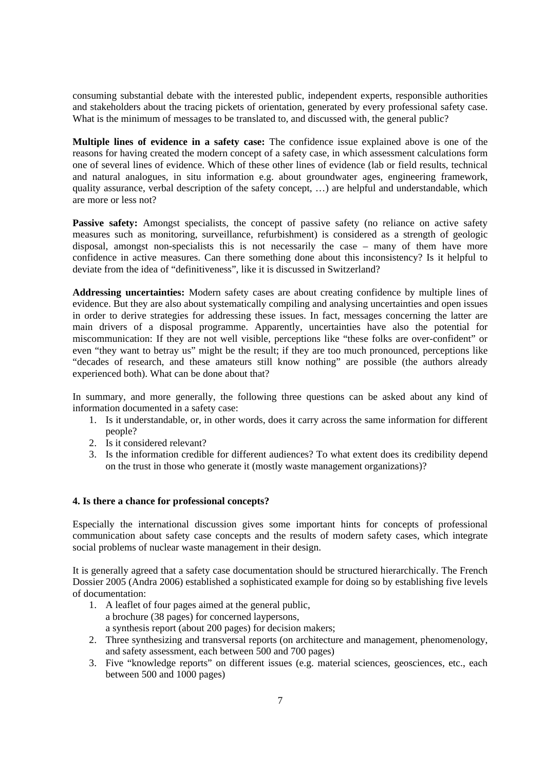consuming substantial debate with the interested public, independent experts, responsible authorities and stakeholders about the tracing pickets of orientation, generated by every professional safety case. What is the minimum of messages to be translated to, and discussed with, the general public?

**Multiple lines of evidence in a safety case:** The confidence issue explained above is one of the reasons for having created the modern concept of a safety case, in which assessment calculations form one of several lines of evidence. Which of these other lines of evidence (lab or field results, technical and natural analogues, in situ information e.g. about groundwater ages, engineering framework, quality assurance, verbal description of the safety concept, …) are helpful and understandable, which are more or less not?

**Passive safety:** Amongst specialists, the concept of passive safety (no reliance on active safety measures such as monitoring, surveillance, refurbishment) is considered as a strength of geologic disposal, amongst non-specialists this is not necessarily the case – many of them have more confidence in active measures. Can there something done about this inconsistency? Is it helpful to deviate from the idea of "definitiveness", like it is discussed in Switzerland?

**Addressing uncertainties:** Modern safety cases are about creating confidence by multiple lines of evidence. But they are also about systematically compiling and analysing uncertainties and open issues in order to derive strategies for addressing these issues. In fact, messages concerning the latter are main drivers of a disposal programme. Apparently, uncertainties have also the potential for miscommunication: If they are not well visible, perceptions like "these folks are over-confident" or even "they want to betray us" might be the result; if they are too much pronounced, perceptions like "decades of research, and these amateurs still know nothing" are possible (the authors already experienced both). What can be done about that?

In summary, and more generally, the following three questions can be asked about any kind of information documented in a safety case:

- 1. Is it understandable, or, in other words, does it carry across the same information for different people?
- 2. Is it considered relevant?
- 3. Is the information credible for different audiences? To what extent does its credibility depend on the trust in those who generate it (mostly waste management organizations)?

# **4. Is there a chance for professional concepts?**

Especially the international discussion gives some important hints for concepts of professional communication about safety case concepts and the results of modern safety cases, which integrate social problems of nuclear waste management in their design.

It is generally agreed that a safety case documentation should be structured hierarchically. The French Dossier 2005 (Andra 2006) established a sophisticated example for doing so by establishing five levels of documentation:

- 1. A leaflet of four pages aimed at the general public, a brochure (38 pages) for concerned laypersons, a synthesis report (about 200 pages) for decision makers;
- 2. Three synthesizing and transversal reports (on architecture and management, phenomenology, and safety assessment, each between 500 and 700 pages)
- 3. Five "knowledge reports" on different issues (e.g. material sciences, geosciences, etc., each between 500 and 1000 pages)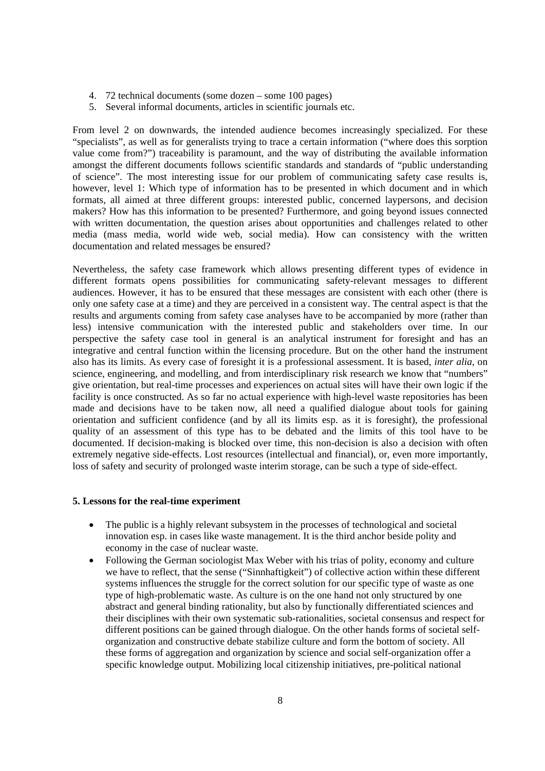- 4. 72 technical documents (some dozen some 100 pages)
- 5. Several informal documents, articles in scientific journals etc.

From level 2 on downwards, the intended audience becomes increasingly specialized. For these "specialists", as well as for generalists trying to trace a certain information ("where does this sorption value come from?") traceability is paramount, and the way of distributing the available information amongst the different documents follows scientific standards and standards of "public understanding of science". The most interesting issue for our problem of communicating safety case results is, however, level 1: Which type of information has to be presented in which document and in which formats, all aimed at three different groups: interested public, concerned laypersons, and decision makers? How has this information to be presented? Furthermore, and going beyond issues connected with written documentation, the question arises about opportunities and challenges related to other media (mass media, world wide web, social media). How can consistency with the written documentation and related messages be ensured?

Nevertheless, the safety case framework which allows presenting different types of evidence in different formats opens possibilities for communicating safety-relevant messages to different audiences. However, it has to be ensured that these messages are consistent with each other (there is only one safety case at a time) and they are perceived in a consistent way. The central aspect is that the results and arguments coming from safety case analyses have to be accompanied by more (rather than less) intensive communication with the interested public and stakeholders over time. In our perspective the safety case tool in general is an analytical instrument for foresight and has an integrative and central function within the licensing procedure. But on the other hand the instrument also has its limits. As every case of foresight it is a professional assessment. It is based, *inter alia*, on science, engineering, and modelling, and from interdisciplinary risk research we know that "numbers" give orientation, but real-time processes and experiences on actual sites will have their own logic if the facility is once constructed. As so far no actual experience with high-level waste repositories has been made and decisions have to be taken now, all need a qualified dialogue about tools for gaining orientation and sufficient confidence (and by all its limits esp. as it is foresight), the professional quality of an assessment of this type has to be debated and the limits of this tool have to be documented. If decision-making is blocked over time, this non-decision is also a decision with often extremely negative side-effects. Lost resources (intellectual and financial), or, even more importantly, loss of safety and security of prolonged waste interim storage, can be such a type of side-effect.

#### **5. Lessons for the real-time experiment**

- The public is a highly relevant subsystem in the processes of technological and societal innovation esp. in cases like waste management. It is the third anchor beside polity and economy in the case of nuclear waste.
- Following the German sociologist Max Weber with his trias of polity, economy and culture we have to reflect, that the sense ("Sinnhaftigkeit") of collective action within these different systems influences the struggle for the correct solution for our specific type of waste as one type of high-problematic waste. As culture is on the one hand not only structured by one abstract and general binding rationality, but also by functionally differentiated sciences and their disciplines with their own systematic sub-rationalities, societal consensus and respect for different positions can be gained through dialogue. On the other hands forms of societal selforganization and constructive debate stabilize culture and form the bottom of society. All these forms of aggregation and organization by science and social self-organization offer a specific knowledge output. Mobilizing local citizenship initiatives, pre-political national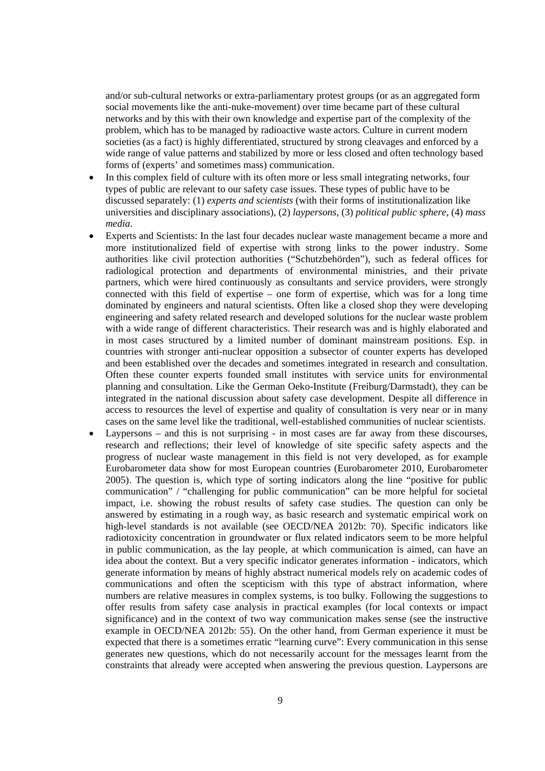and/or sub-cultural networks or extra-parliamentary protest groups (or as an aggregated form social movements like the anti-nuke-movement) over time became part of these cultural networks and by this with their own knowledge and expertise part of the complexity of the problem, which has to be managed by radioactive waste actors. Culture in current modern societies (as a fact) is highly differentiated, structured by strong cleavages and enforced by a wide range of value patterns and stabilized by more or less closed and often technology based forms of (experts' and sometimes mass) communication.

- In this complex field of culture with its often more or less small integrating networks, four types of public are relevant to our safety case issues. These types of public have to be discussed separately: (1) *experts and scientists* (with their forms of institutionalization like universities and disciplinary associations), (2) *laypersons*, (3) *political public sphere*, (4) *mass media*.
- Experts and Scientists: In the last four decades nuclear waste management became a more and more institutionalized field of expertise with strong links to the power industry. Some authorities like civil protection authorities ("Schutzbehörden"), such as federal offices for radiological protection and departments of environmental ministries, and their private partners, which were hired continuously as consultants and service providers, were strongly connected with this field of expertise – one form of expertise, which was for a long time dominated by engineers and natural scientists. Often like a closed shop they were developing engineering and safety related research and developed solutions for the nuclear waste problem with a wide range of different characteristics. Their research was and is highly elaborated and in most cases structured by a limited number of dominant mainstream positions. Esp. in countries with stronger anti-nuclear opposition a subsector of counter experts has developed and been established over the decades and sometimes integrated in research and consultation. Often these counter experts founded small institutes with service units for environmental planning and consultation. Like the German Oeko-Institute (Freiburg/Darmstadt), they can be integrated in the national discussion about safety case development. Despite all difference in access to resources the level of expertise and quality of consultation is very near or in many cases on the same level like the traditional, well-established communities of nuclear scientists.
- Laypersons and this is not surprising in most cases are far away from these discourses, research and reflections; their level of knowledge of site specific safety aspects and the progress of nuclear waste management in this field is not very developed, as for example Eurobarometer data show for most European countries (Eurobarometer 2010, Eurobarometer 2005). The question is, which type of sorting indicators along the line "positive for public communication" / "challenging for public communication" can be more helpful for societal impact, i.e. showing the robust results of safety case studies. The question can only be answered by estimating in a rough way, as basic research and systematic empirical work on high-level standards is not available (see OECD/NEA 2012b: 70). Specific indicators like radiotoxicity concentration in groundwater or flux related indicators seem to be more helpful in public communication, as the lay people, at which communication is aimed, can have an idea about the context. But a very specific indicator generates information - indicators, which generate information by means of highly abstract numerical models rely on academic codes of communications and often the scepticism with this type of abstract information, where numbers are relative measures in complex systems, is too bulky. Following the suggestions to offer results from safety case analysis in practical examples (for local contexts or impact significance) and in the context of two way communication makes sense (see the instructive example in OECD/NEA 2012b: 55). On the other hand, from German experience it must be expected that there is a sometimes erratic "learning curve": Every communication in this sense generates new questions, which do not necessarily account for the messages learnt from the constraints that already were accepted when answering the previous question. Laypersons are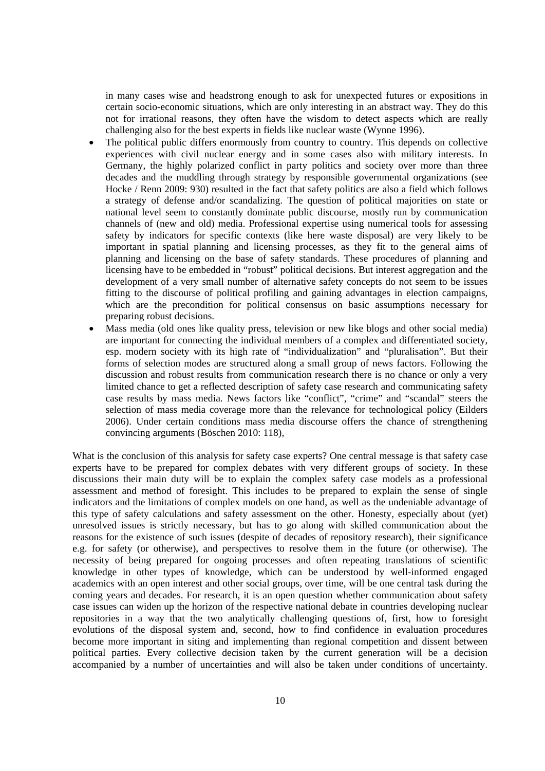in many cases wise and headstrong enough to ask for unexpected futures or expositions in certain socio-economic situations, which are only interesting in an abstract way. They do this not for irrational reasons, they often have the wisdom to detect aspects which are really challenging also for the best experts in fields like nuclear waste (Wynne 1996).

- The political public differs enormously from country to country. This depends on collective experiences with civil nuclear energy and in some cases also with military interests. In Germany, the highly polarized conflict in party politics and society over more than three decades and the muddling through strategy by responsible governmental organizations (see Hocke / Renn 2009: 930) resulted in the fact that safety politics are also a field which follows a strategy of defense and/or scandalizing. The question of political majorities on state or national level seem to constantly dominate public discourse, mostly run by communication channels of (new and old) media. Professional expertise using numerical tools for assessing safety by indicators for specific contexts (like here waste disposal) are very likely to be important in spatial planning and licensing processes, as they fit to the general aims of planning and licensing on the base of safety standards. These procedures of planning and licensing have to be embedded in "robust" political decisions. But interest aggregation and the development of a very small number of alternative safety concepts do not seem to be issues fitting to the discourse of political profiling and gaining advantages in election campaigns, which are the precondition for political consensus on basic assumptions necessary for preparing robust decisions.
- Mass media (old ones like quality press, television or new like blogs and other social media) are important for connecting the individual members of a complex and differentiated society, esp. modern society with its high rate of "individualization" and "pluralisation". But their forms of selection modes are structured along a small group of news factors. Following the discussion and robust results from communication research there is no chance or only a very limited chance to get a reflected description of safety case research and communicating safety case results by mass media. News factors like "conflict", "crime" and "scandal" steers the selection of mass media coverage more than the relevance for technological policy (Eilders 2006). Under certain conditions mass media discourse offers the chance of strengthening convincing arguments (Böschen 2010: 118),

What is the conclusion of this analysis for safety case experts? One central message is that safety case experts have to be prepared for complex debates with very different groups of society. In these discussions their main duty will be to explain the complex safety case models as a professional assessment and method of foresight. This includes to be prepared to explain the sense of single indicators and the limitations of complex models on one hand, as well as the undeniable advantage of this type of safety calculations and safety assessment on the other. Honesty, especially about (yet) unresolved issues is strictly necessary, but has to go along with skilled communication about the reasons for the existence of such issues (despite of decades of repository research), their significance e.g. for safety (or otherwise), and perspectives to resolve them in the future (or otherwise). The necessity of being prepared for ongoing processes and often repeating translations of scientific knowledge in other types of knowledge, which can be understood by well-informed engaged academics with an open interest and other social groups, over time, will be one central task during the coming years and decades. For research, it is an open question whether communication about safety case issues can widen up the horizon of the respective national debate in countries developing nuclear repositories in a way that the two analytically challenging questions of, first, how to foresight evolutions of the disposal system and, second, how to find confidence in evaluation procedures become more important in siting and implementing than regional competition and dissent between political parties. Every collective decision taken by the current generation will be a decision accompanied by a number of uncertainties and will also be taken under conditions of uncertainty.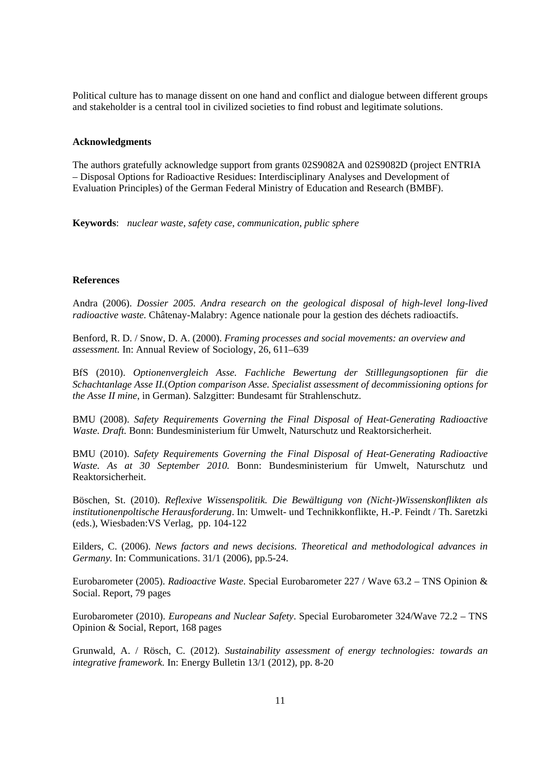Political culture has to manage dissent on one hand and conflict and dialogue between different groups and stakeholder is a central tool in civilized societies to find robust and legitimate solutions.

### **Acknowledgments**

The authors gratefully acknowledge support from grants 02S9082A and 02S9082D (project ENTRIA – Disposal Options for Radioactive Residues: Interdisciplinary Analyses and Development of Evaluation Principles) of the German Federal Ministry of Education and Research (BMBF).

**Keywords**: *nuclear waste, safety case, communication, public sphere*

### **References**

Andra (2006). *Dossier 2005. Andra research on the geological disposal of high-level long-lived radioactive waste.* Châtenay-Malabry: Agence nationale pour la gestion des déchets radioactifs.

Benford, R. D. / Snow, D. A. (2000). *Framing processes and social movements: an overview and assessment.* In: Annual Review of Sociology, 26, 611–639

BfS (2010). *Optionenvergleich Asse. Fachliche Bewertung der Stilllegungsoptionen für die Schachtanlage Asse II.*(*Option comparison Asse. Specialist assessment of decommissioning options for the Asse II mine*, in German). Salzgitter: Bundesamt für Strahlenschutz.

BMU (2008). *Safety Requirements Governing the Final Disposal of Heat-Generating Radioactive Waste. Draft.* Bonn: Bundesministerium für Umwelt, Naturschutz und Reaktorsicherheit.

BMU (2010). *Safety Requirements Governing the Final Disposal of Heat-Generating Radioactive Waste. As at 30 September 2010.* Bonn: Bundesministerium für Umwelt, Naturschutz und Reaktorsicherheit.

Böschen, St. (2010). *Reflexive Wissenspolitik. Die Bewältigung von (Nicht-)Wissenskonflikten als institutionenpoltische Herausforderung*. In: Umwelt- und Technikkonflikte, H.-P. Feindt / Th. Saretzki (eds.), Wiesbaden:VS Verlag, pp. 104-122

Eilders, C. (2006). *News factors and news decisions. Theoretical and methodological advances in Germany.* In: Communications. 31/1 (2006), pp.5-24.

Eurobarometer (2005). *Radioactive Waste*. Special Eurobarometer 227 / Wave 63.2 – TNS Opinion & Social. Report, 79 pages

Eurobarometer (2010). *Europeans and Nuclear Safety*. Special Eurobarometer 324/Wave 72.2 – TNS Opinion & Social, Report, 168 pages

Grunwald, A. / Rösch, C. (2012). *Sustainability assessment of energy technologies: towards an integrative framework.* In: Energy Bulletin 13/1 (2012), pp. 8-20